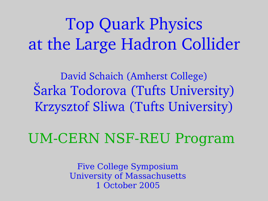# Top Quark Physics at the Large Hadron Collider

David Schaich (Amherst College) Šarka Todorova (Tufts University) Krzysztof Sliwa (Tufts University)

UM-CERN NSF-REU Program

Five College Symposium University of Massachusetts 1 October 2005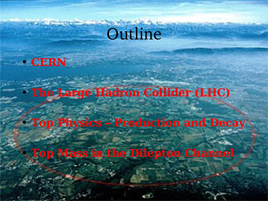# Outline

● **CERN**

● **The Large Hadron Collider (LHC)**

● **Top Physics – Production and Decay**

● **Top Mass in the Dilepton Channel**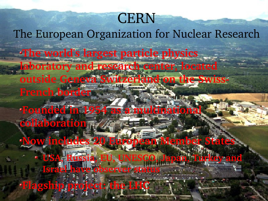## **CERN**

The European Organization for Nuclear Research

**The world's largest particle physics laboratory and research center, located** 

**outside Geneva Switzerland on the Swiss-French border**

**Founded in 1954 as a multinational collaboration**

**Now includes 20 European Member States USA, Russia, EU, UNESCO, Japan, Turkey and** 

**Israel** have observer status **Flagship project: the LHC**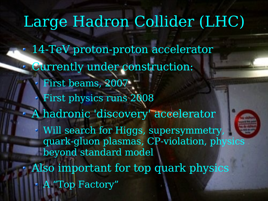## Large Hadron Collider (LHC)

14-TeV proton-proton accelerator Currently under construction: First beams, 2007 First physics runs 2008 A hadronic 'discovery' accelerator Will search for Higgs, supersymmetry, quark-gluon plasmas, CP-violation, physics beyond standard model Also important for top quark physics A "Top Factory"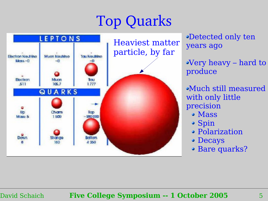# Top Quarks



Detected only ten years ago

Very heavy – hard to produce

Much still measured with only little precision

- Mass
- Spin
- Polarization
- Decays
- Bare quarks?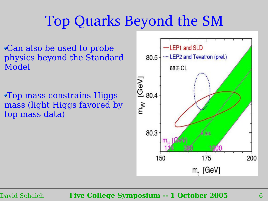## Top Quarks Beyond the SM

Can also be used to probe physics beyond the Standard Model

Top mass constrains Higgs mass (light Higgs favored by top mass data)

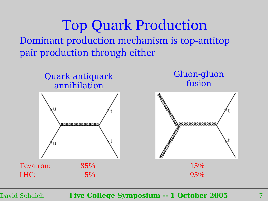Top Quark Production Dominant production mechanism is top-antitop pair production through either

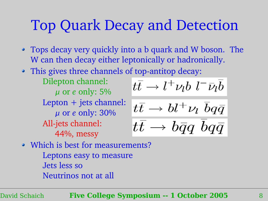### Top Quark Decay and Detection

- Tops decay very quickly into a b quark and W boson. The W can then decay either leptonically or hadronically.
- This gives three channels of top-antitop decay:

Dilepton channel: or *e* only: 5% Lepton + jets channel: or *e* only: 30% All-jets channel: 44%, messy

$$
t\bar{t} \rightarrow l^+\nu_l b \,\, l^-\bar{\nu}_l \bar{b}
$$

$$
\frac{t\bar{t} \to bl^+\nu_l}{t\bar{t} \to b\bar{q}q \ \bar{b}q\bar{q}}
$$

• Which is best for measurements? Leptons easy to measure Jets less so Neutrinos not at all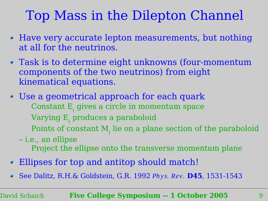### Top Mass in the Dilepton Channel

- Have very accurate lepton measurements, but nothing at all for the neutrinos.
- Task is to determine eight unknowns (four-momentum components of the two neutrinos) from eight kinematical equations.
- Use a geometrical approach for each quark Constant  $\mathrm{E}_{\mathrm{t}}$  gives a circle in momentum space Varying  $\text{E}_{_{\text{t}}}$  produces a paraboloid Points of constant  $\mathbf{M}_{\mathrm{t}}$  lie on a plane section of the paraboloid
	- i.e., an ellipse Project the ellipse onto the transverse momentum plane
- Ellipses for top and antitop should match!
- See Dalitz, R.H.& Goldstein, G.R. 1992 *Ph y s. Rev .* **D45**, 1531-1543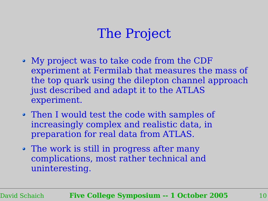### The Project

- My project was to take code from the CDF experiment at Fermilab that measures the mass of the top quark using the dilepton channel approach just described and adapt it to the ATLAS experiment.
- Then I would test the code with samples of increasingly complex and realistic data, in preparation for real data from ATLAS.
- The work is still in progress after many complications, most rather technical and uninteresting.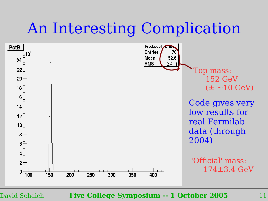# An Interesting Complication